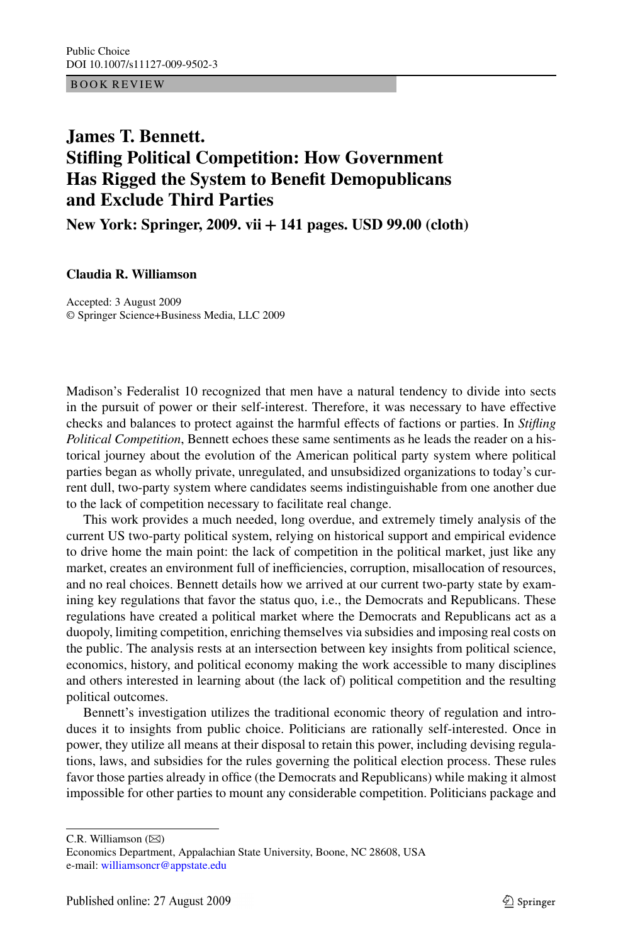BOOK REVIEW

## **James T. Bennett. Stifling Political Competition: How Government Has Rigged the System to Benefit Demopublicans and Exclude Third Parties**

**New York: Springer, 2009. vii + 141 pages. USD 99.00 (cloth)**

## **Claudia R. Williamson**

Accepted: 3 August 2009 © Springer Science+Business Media, LLC 2009

Madison's Federalist 10 recognized that men have a natural tendency to divide into sects in the pursuit of power or their self-interest. Therefore, it was necessary to have effective checks and balances to protect against the harmful effects of factions or parties. In *Stifling Political Competition*, Bennett echoes these same sentiments as he leads the reader on a historical journey about the evolution of the American political party system where political parties began as wholly private, unregulated, and unsubsidized organizations to today's current dull, two-party system where candidates seems indistinguishable from one another due to the lack of competition necessary to facilitate real change.

This work provides a much needed, long overdue, and extremely timely analysis of the current US two-party political system, relying on historical support and empirical evidence to drive home the main point: the lack of competition in the political market, just like any market, creates an environment full of inefficiencies, corruption, misallocation of resources, and no real choices. Bennett details how we arrived at our current two-party state by examining key regulations that favor the status quo, i.e., the Democrats and Republicans. These regulations have created a political market where the Democrats and Republicans act as a duopoly, limiting competition, enriching themselves via subsidies and imposing real costs on the public. The analysis rests at an intersection between key insights from political science, economics, history, and political economy making the work accessible to many disciplines and others interested in learning about (the lack of) political competition and the resulting political outcomes.

Bennett's investigation utilizes the traditional economic theory of regulation and introduces it to insights from public choice. Politicians are rationally self-interested. Once in power, they utilize all means at their disposal to retain this power, including devising regulations, laws, and subsidies for the rules governing the political election process. These rules favor those parties already in office (the Democrats and Republicans) while making it almost impossible for other parties to mount any considerable competition. Politicians package and

 $C.R.$  Williamson  $(\boxtimes)$ 

Economics Department, Appalachian State University, Boone, NC 28608, USA e-mail: [williamsoncr@appstate.edu](mailto:williamsoncr@appstate.edu)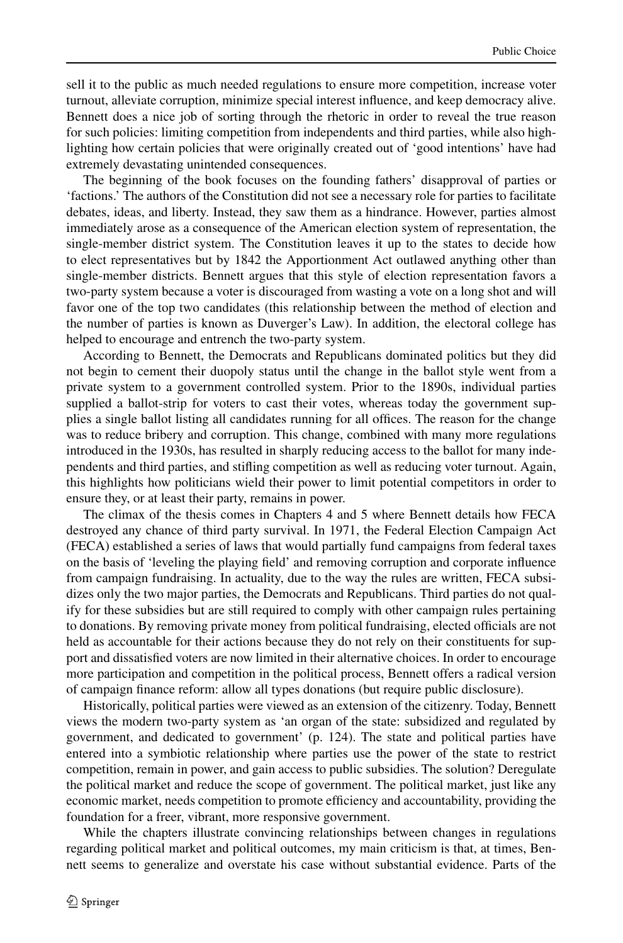sell it to the public as much needed regulations to ensure more competition, increase voter turnout, alleviate corruption, minimize special interest influence, and keep democracy alive. Bennett does a nice job of sorting through the rhetoric in order to reveal the true reason for such policies: limiting competition from independents and third parties, while also highlighting how certain policies that were originally created out of 'good intentions' have had extremely devastating unintended consequences.

The beginning of the book focuses on the founding fathers' disapproval of parties or 'factions.' The authors of the Constitution did not see a necessary role for parties to facilitate debates, ideas, and liberty. Instead, they saw them as a hindrance. However, parties almost immediately arose as a consequence of the American election system of representation, the single-member district system. The Constitution leaves it up to the states to decide how to elect representatives but by 1842 the Apportionment Act outlawed anything other than single-member districts. Bennett argues that this style of election representation favors a two-party system because a voter is discouraged from wasting a vote on a long shot and will favor one of the top two candidates (this relationship between the method of election and the number of parties is known as Duverger's Law). In addition, the electoral college has helped to encourage and entrench the two-party system.

According to Bennett, the Democrats and Republicans dominated politics but they did not begin to cement their duopoly status until the change in the ballot style went from a private system to a government controlled system. Prior to the 1890s, individual parties supplied a ballot-strip for voters to cast their votes, whereas today the government supplies a single ballot listing all candidates running for all offices. The reason for the change was to reduce bribery and corruption. This change, combined with many more regulations introduced in the 1930s, has resulted in sharply reducing access to the ballot for many independents and third parties, and stifling competition as well as reducing voter turnout. Again, this highlights how politicians wield their power to limit potential competitors in order to ensure they, or at least their party, remains in power.

The climax of the thesis comes in Chapters 4 and 5 where Bennett details how FECA destroyed any chance of third party survival. In 1971, the Federal Election Campaign Act (FECA) established a series of laws that would partially fund campaigns from federal taxes on the basis of 'leveling the playing field' and removing corruption and corporate influence from campaign fundraising. In actuality, due to the way the rules are written, FECA subsidizes only the two major parties, the Democrats and Republicans. Third parties do not qualify for these subsidies but are still required to comply with other campaign rules pertaining to donations. By removing private money from political fundraising, elected officials are not held as accountable for their actions because they do not rely on their constituents for support and dissatisfied voters are now limited in their alternative choices. In order to encourage more participation and competition in the political process, Bennett offers a radical version of campaign finance reform: allow all types donations (but require public disclosure).

Historically, political parties were viewed as an extension of the citizenry. Today, Bennett views the modern two-party system as 'an organ of the state: subsidized and regulated by government, and dedicated to government' (p. 124). The state and political parties have entered into a symbiotic relationship where parties use the power of the state to restrict competition, remain in power, and gain access to public subsidies. The solution? Deregulate the political market and reduce the scope of government. The political market, just like any economic market, needs competition to promote efficiency and accountability, providing the foundation for a freer, vibrant, more responsive government.

While the chapters illustrate convincing relationships between changes in regulations regarding political market and political outcomes, my main criticism is that, at times, Bennett seems to generalize and overstate his case without substantial evidence. Parts of the